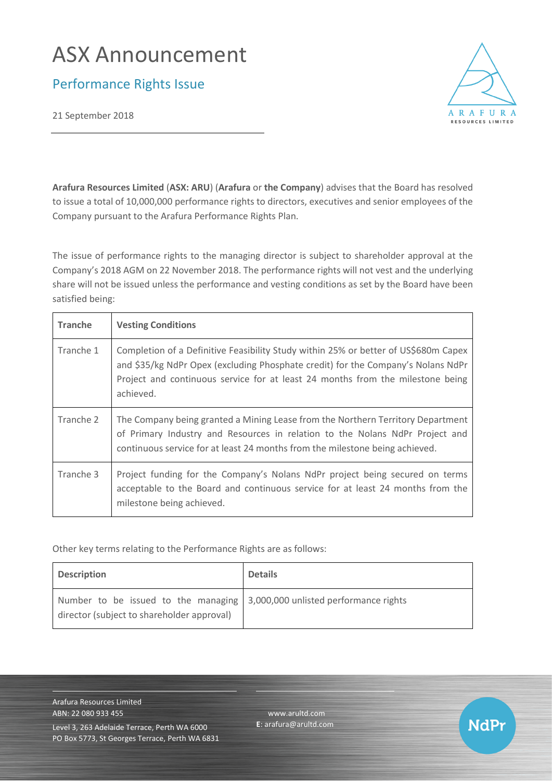# ASX Announcement

Performance Rights Issue

21 September 2018



**NdPr** 

**Arafura Resources Limited** (**ASX: ARU**) (**Arafura** or **the Company**) advises that the Board has resolved to issue a total of 10,000,000 performance rights to directors, executives and senior employees of the Company pursuant to the Arafura Performance Rights Plan.

The issue of performance rights to the managing director is subject to shareholder approval at the Company's 2018 AGM on 22 November 2018. The performance rights will not vest and the underlying share will not be issued unless the performance and vesting conditions as set by the Board have been satisfied being:

| <b>Tranche</b> | <b>Vesting Conditions</b>                                                                                                                                                                                                                                              |
|----------------|------------------------------------------------------------------------------------------------------------------------------------------------------------------------------------------------------------------------------------------------------------------------|
| Tranche 1      | Completion of a Definitive Feasibility Study within 25% or better of US\$680m Capex<br>and \$35/kg NdPr Opex (excluding Phosphate credit) for the Company's Nolans NdPr<br>Project and continuous service for at least 24 months from the milestone being<br>achieved. |
| Tranche 2      | The Company being granted a Mining Lease from the Northern Territory Department<br>of Primary Industry and Resources in relation to the Nolans NdPr Project and<br>continuous service for at least 24 months from the milestone being achieved.                        |
| Tranche 3      | Project funding for the Company's Nolans NdPr project being secured on terms<br>acceptable to the Board and continuous service for at least 24 months from the<br>milestone being achieved.                                                                            |

Other key terms relating to the Performance Rights are as follows:

| <b>Description</b>                                                                                                              | <b>Details</b> |
|---------------------------------------------------------------------------------------------------------------------------------|----------------|
| Number to be issued to the managing $\vert$ 3,000,000 unlisted performance rights<br>director (subject to shareholder approval) |                |

[www.arultd.com](http://www.arultd.com/) **E**[: arafura@arultd.com](mailto:arafura@arultd.com)